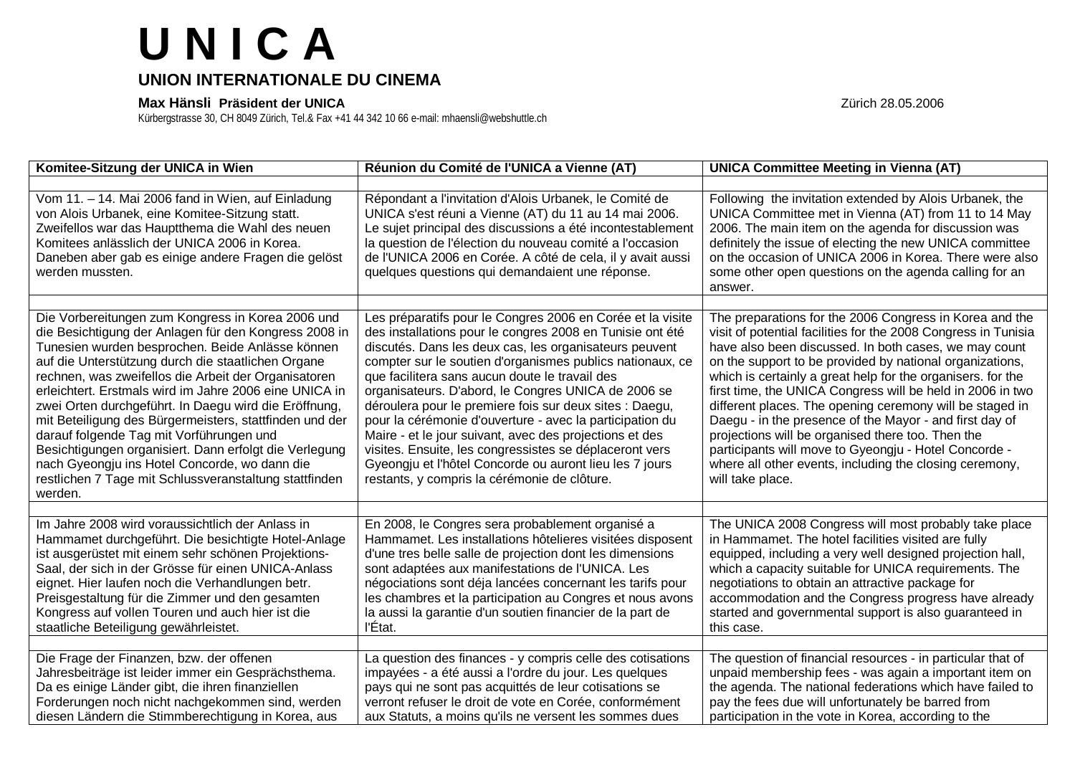## **U N I C A**

## **UNION INTERNATIONALE DU CINEMA**

## **Max Hänsli Präsident der UNICA** Zürich 28.05.2006

Kürbergstrasse 30, CH 8049 Zürich, Tel.& Fax +41 44 342 10 66 e-mail: mhaensli@webshuttle.ch

| Komitee-Sitzung der UNICA in Wien                                                                                                                                                                                                                                                                                                                                                                                                                                                                                                                                                                                                                                                      | Réunion du Comité de l'UNICA a Vienne (AT)                                                                                                                                                                                                                                                                                                                                                                                                                                                                                                                                                                                                                                                                      | <b>UNICA Committee Meeting in Vienna (AT)</b>                                                                                                                                                                                                                                                                                                                                                                                                                                                                                                                                                                                                                                                   |
|----------------------------------------------------------------------------------------------------------------------------------------------------------------------------------------------------------------------------------------------------------------------------------------------------------------------------------------------------------------------------------------------------------------------------------------------------------------------------------------------------------------------------------------------------------------------------------------------------------------------------------------------------------------------------------------|-----------------------------------------------------------------------------------------------------------------------------------------------------------------------------------------------------------------------------------------------------------------------------------------------------------------------------------------------------------------------------------------------------------------------------------------------------------------------------------------------------------------------------------------------------------------------------------------------------------------------------------------------------------------------------------------------------------------|-------------------------------------------------------------------------------------------------------------------------------------------------------------------------------------------------------------------------------------------------------------------------------------------------------------------------------------------------------------------------------------------------------------------------------------------------------------------------------------------------------------------------------------------------------------------------------------------------------------------------------------------------------------------------------------------------|
|                                                                                                                                                                                                                                                                                                                                                                                                                                                                                                                                                                                                                                                                                        |                                                                                                                                                                                                                                                                                                                                                                                                                                                                                                                                                                                                                                                                                                                 |                                                                                                                                                                                                                                                                                                                                                                                                                                                                                                                                                                                                                                                                                                 |
| Vom 11. - 14. Mai 2006 fand in Wien, auf Einladung<br>von Alois Urbanek, eine Komitee-Sitzung statt.<br>Zweifellos war das Hauptthema die Wahl des neuen<br>Komitees anlässlich der UNICA 2006 in Korea.<br>Daneben aber gab es einige andere Fragen die gelöst<br>werden mussten.                                                                                                                                                                                                                                                                                                                                                                                                     | Répondant a l'invitation d'Alois Urbanek, le Comité de<br>UNICA s'est réuni a Vienne (AT) du 11 au 14 mai 2006.<br>Le sujet principal des discussions a été incontestablement<br>la question de l'élection du nouveau comité a l'occasion<br>de l'UNICA 2006 en Corée. A côté de cela, il y avait aussi<br>quelques questions qui demandaient une réponse.                                                                                                                                                                                                                                                                                                                                                      | Following the invitation extended by Alois Urbanek, the<br>UNICA Committee met in Vienna (AT) from 11 to 14 May<br>2006. The main item on the agenda for discussion was<br>definitely the issue of electing the new UNICA committee<br>on the occasion of UNICA 2006 in Korea. There were also<br>some other open questions on the agenda calling for an<br>answer.                                                                                                                                                                                                                                                                                                                             |
| Die Vorbereitungen zum Kongress in Korea 2006 und<br>die Besichtigung der Anlagen für den Kongress 2008 in<br>Tunesien wurden besprochen. Beide Anlässe können<br>auf die Unterstützung durch die staatlichen Organe<br>rechnen, was zweifellos die Arbeit der Organisatoren<br>erleichtert. Erstmals wird im Jahre 2006 eine UNICA in<br>zwei Orten durchgeführt. In Daegu wird die Eröffnung,<br>mit Beteiligung des Bürgermeisters, stattfinden und der<br>darauf folgende Tag mit Vorführungen und<br>Besichtigungen organisiert. Dann erfolgt die Verlegung<br>nach Gyeongju ins Hotel Concorde, wo dann die<br>restlichen 7 Tage mit Schlussveranstaltung stattfinden<br>werden. | Les préparatifs pour le Congres 2006 en Corée et la visite<br>des installations pour le congres 2008 en Tunisie ont été<br>discutés. Dans les deux cas, les organisateurs peuvent<br>compter sur le soutien d'organismes publics nationaux, ce<br>que facilitera sans aucun doute le travail des<br>organisateurs. D'abord, le Congres UNICA de 2006 se<br>déroulera pour le premiere fois sur deux sites : Daegu,<br>pour la cérémonie d'ouverture - avec la participation du<br>Maire - et le jour suivant, avec des projections et des<br>visites. Ensuite, les congressistes se déplaceront vers<br>Gyeongju et l'hôtel Concorde ou auront lieu les 7 jours<br>restants, y compris la cérémonie de clôture. | The preparations for the 2006 Congress in Korea and the<br>visit of potential facilities for the 2008 Congress in Tunisia<br>have also been discussed. In both cases, we may count<br>on the support to be provided by national organizations,<br>which is certainly a great help for the organisers. for the<br>first time, the UNICA Congress will be held in 2006 in two<br>different places. The opening ceremony will be staged in<br>Daegu - in the presence of the Mayor - and first day of<br>projections will be organised there too. Then the<br>participants will move to Gyeongju - Hotel Concorde -<br>where all other events, including the closing ceremony,<br>will take place. |
| Im Jahre 2008 wird voraussichtlich der Anlass in<br>Hammamet durchgeführt. Die besichtigte Hotel-Anlage<br>ist ausgerüstet mit einem sehr schönen Projektions-<br>Saal, der sich in der Grösse für einen UNICA-Anlass<br>eignet. Hier laufen noch die Verhandlungen betr.<br>Preisgestaltung für die Zimmer und den gesamten<br>Kongress auf vollen Touren und auch hier ist die<br>staatliche Beteiligung gewährleistet.                                                                                                                                                                                                                                                              | En 2008, le Congres sera probablement organisé a<br>Hammamet. Les installations hôtelieres visitées disposent<br>d'une tres belle salle de projection dont les dimensions<br>sont adaptées aux manifestations de l'UNICA. Les<br>négociations sont déja lancées concernant les tarifs pour<br>les chambres et la participation au Congres et nous avons<br>la aussi la garantie d'un soutien financier de la part de<br>l'Etat.                                                                                                                                                                                                                                                                                 | The UNICA 2008 Congress will most probably take place<br>in Hammamet. The hotel facilities visited are fully<br>equipped, including a very well designed projection hall,<br>which a capacity suitable for UNICA requirements. The<br>negotiations to obtain an attractive package for<br>accommodation and the Congress progress have already<br>started and governmental support is also guaranteed in<br>this case.                                                                                                                                                                                                                                                                          |
| Die Frage der Finanzen, bzw. der offenen<br>Jahresbeiträge ist leider immer ein Gesprächsthema.<br>Da es einige Länder gibt, die ihren finanziellen<br>Forderungen noch nicht nachgekommen sind, werden<br>diesen Ländern die Stimmberechtigung in Korea, aus                                                                                                                                                                                                                                                                                                                                                                                                                          | La question des finances - y compris celle des cotisations<br>impayées - a été aussi a l'ordre du jour. Les quelques<br>pays qui ne sont pas acquittés de leur cotisations se<br>verront refuser le droit de vote en Corée, conformément<br>aux Statuts, a moins qu'ils ne versent les sommes dues                                                                                                                                                                                                                                                                                                                                                                                                              | The question of financial resources - in particular that of<br>unpaid membership fees - was again a important item on<br>the agenda. The national federations which have failed to<br>pay the fees due will unfortunately be barred from<br>participation in the vote in Korea, according to the                                                                                                                                                                                                                                                                                                                                                                                                |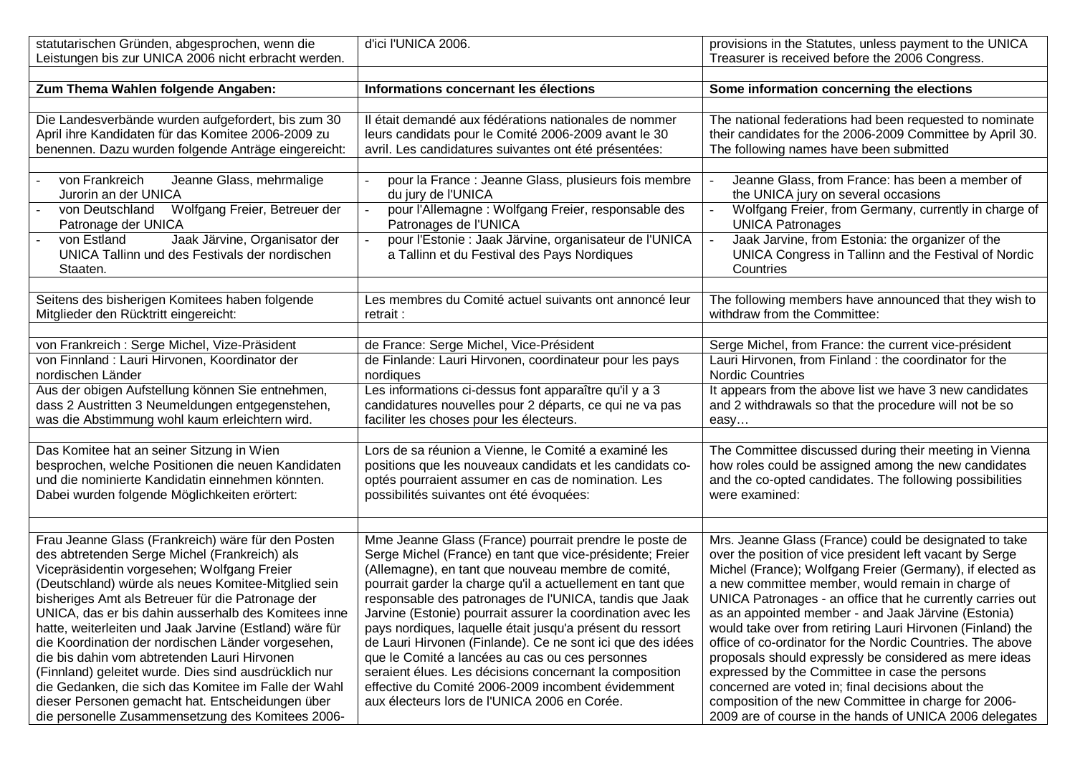| statutarischen Gründen, abgesprochen, wenn die<br>Leistungen bis zur UNICA 2006 nicht erbracht werden. | d'ici l'UNICA 2006.                                                                                           | provisions in the Statutes, unless payment to the UNICA<br>Treasurer is received before the 2006 Congress.           |
|--------------------------------------------------------------------------------------------------------|---------------------------------------------------------------------------------------------------------------|----------------------------------------------------------------------------------------------------------------------|
|                                                                                                        |                                                                                                               |                                                                                                                      |
| Zum Thema Wahlen folgende Angaben:                                                                     | Informations concernant les élections                                                                         | Some information concerning the elections                                                                            |
|                                                                                                        |                                                                                                               |                                                                                                                      |
| Die Landesverbände wurden aufgefordert, bis zum 30                                                     | Il était demandé aux fédérations nationales de nommer                                                         | The national federations had been requested to nominate                                                              |
| April ihre Kandidaten für das Komitee 2006-2009 zu                                                     | leurs candidats pour le Comité 2006-2009 avant le 30                                                          | their candidates for the 2006-2009 Committee by April 30.                                                            |
| benennen. Dazu wurden folgende Anträge eingereicht:                                                    | avril. Les candidatures suivantes ont été présentées:                                                         | The following names have been submitted                                                                              |
|                                                                                                        |                                                                                                               |                                                                                                                      |
| von Frankreich<br>Jeanne Glass, mehrmalige                                                             | pour la France : Jeanne Glass, plusieurs fois membre                                                          | Jeanne Glass, from France: has been a member of                                                                      |
| Jurorin an der UNICA                                                                                   | du jury de l'UNICA                                                                                            | the UNICA jury on several occasions                                                                                  |
| von Deutschland<br>Wolfgang Freier, Betreuer der<br>Patronage der UNICA                                | pour l'Allemagne : Wolfgang Freier, responsable des<br>Patronages de l'UNICA                                  | Wolfgang Freier, from Germany, currently in charge of<br><b>UNICA Patronages</b>                                     |
| Jaak Järvine, Organisator der<br>von Estland                                                           | pour l'Estonie : Jaak Järvine, organisateur de l'UNICA                                                        | Jaak Jarvine, from Estonia: the organizer of the                                                                     |
| UNICA Tallinn und des Festivals der nordischen                                                         | a Tallinn et du Festival des Pays Nordiques                                                                   | UNICA Congress in Tallinn and the Festival of Nordic                                                                 |
| Staaten.                                                                                               |                                                                                                               | Countries                                                                                                            |
|                                                                                                        |                                                                                                               |                                                                                                                      |
| Seitens des bisherigen Komitees haben folgende<br>Mitglieder den Rücktritt eingereicht:                | Les membres du Comité actuel suivants ont annoncé leur<br>retrait:                                            | The following members have announced that they wish to<br>withdraw from the Committee:                               |
|                                                                                                        |                                                                                                               |                                                                                                                      |
| von Frankreich: Serge Michel, Vize-Präsident                                                           | de France: Serge Michel, Vice-Président                                                                       | Serge Michel, from France: the current vice-président                                                                |
| von Finnland : Lauri Hirvonen, Koordinator der                                                         | de Finlande: Lauri Hirvonen, coordinateur pour les pays                                                       | Lauri Hirvonen, from Finland : the coordinator for the                                                               |
| nordischen Länder                                                                                      | nordiques                                                                                                     | <b>Nordic Countries</b>                                                                                              |
| Aus der obigen Aufstellung können Sie entnehmen,                                                       | Les informations ci-dessus font apparaître qu'il y a 3                                                        | It appears from the above list we have 3 new candidates                                                              |
| dass 2 Austritten 3 Neumeldungen entgegenstehen,                                                       | candidatures nouvelles pour 2 départs, ce qui ne va pas                                                       | and 2 withdrawals so that the procedure will not be so                                                               |
| was die Abstimmung wohl kaum erleichtern wird.                                                         | faciliter les choses pour les électeurs.                                                                      | easy                                                                                                                 |
|                                                                                                        |                                                                                                               |                                                                                                                      |
| Das Komitee hat an seiner Sitzung in Wien                                                              | Lors de sa réunion a Vienne, le Comité a examiné les                                                          | The Committee discussed during their meeting in Vienna                                                               |
| besprochen, welche Positionen die neuen Kandidaten                                                     | positions que les nouveaux candidats et les candidats co-                                                     | how roles could be assigned among the new candidates                                                                 |
| und die nominierte Kandidatin einnehmen könnten.<br>Dabei wurden folgende Möglichkeiten erörtert:      | optés pourraient assumer en cas de nomination. Les<br>possibilités suivantes ont été évoquées:                | and the co-opted candidates. The following possibilities<br>were examined:                                           |
|                                                                                                        |                                                                                                               |                                                                                                                      |
|                                                                                                        |                                                                                                               |                                                                                                                      |
| Frau Jeanne Glass (Frankreich) wäre für den Posten                                                     | Mme Jeanne Glass (France) pourrait prendre le poste de                                                        | Mrs. Jeanne Glass (France) could be designated to take                                                               |
| des abtretenden Serge Michel (Frankreich) als                                                          | Serge Michel (France) en tant que vice-présidente; Freier                                                     | over the position of vice president left vacant by Serge                                                             |
| Vicepräsidentin vorgesehen; Wolfgang Freier                                                            | (Allemagne), en tant que nouveau membre de comité,                                                            | Michel (France); Wolfgang Freier (Germany), if elected as                                                            |
| (Deutschland) würde als neues Komitee-Mitglied sein                                                    | pourrait garder la charge qu'il a actuellement en tant que                                                    | a new committee member, would remain in charge of                                                                    |
| bisheriges Amt als Betreuer für die Patronage der                                                      | responsable des patronages de l'UNICA, tandis que Jaak                                                        | UNICA Patronages - an office that he currently carries out                                                           |
| UNICA, das er bis dahin ausserhalb des Komitees inne                                                   | Jarvine (Estonie) pourrait assurer la coordination avec les                                                   | as an appointed member - and Jaak Järvine (Estonia)                                                                  |
| hatte, weiterleiten und Jaak Jarvine (Estland) wäre für                                                | pays nordiques, laquelle était jusqu'a présent du ressort                                                     | would take over from retiring Lauri Hirvonen (Finland) the                                                           |
| die Koordination der nordischen Länder vorgesehen,<br>die bis dahin vom abtretenden Lauri Hirvonen     | de Lauri Hirvonen (Finlande). Ce ne sont ici que des idées<br>que le Comité a lancées au cas ou ces personnes | office of co-ordinator for the Nordic Countries. The above<br>proposals should expressly be considered as mere ideas |
| (Finnland) geleitet wurde. Dies sind ausdrücklich nur                                                  | seraient élues. Les décisions concernant la composition                                                       | expressed by the Committee in case the persons                                                                       |
| die Gedanken, die sich das Komitee im Falle der Wahl                                                   | effective du Comité 2006-2009 incombent évidemment                                                            | concerned are voted in; final decisions about the                                                                    |
| dieser Personen gemacht hat. Entscheidungen über                                                       | aux électeurs lors de l'UNICA 2006 en Corée.                                                                  | composition of the new Committee in charge for 2006-                                                                 |
| die personelle Zusammensetzung des Komitees 2006-                                                      |                                                                                                               | 2009 are of course in the hands of UNICA 2006 delegates                                                              |